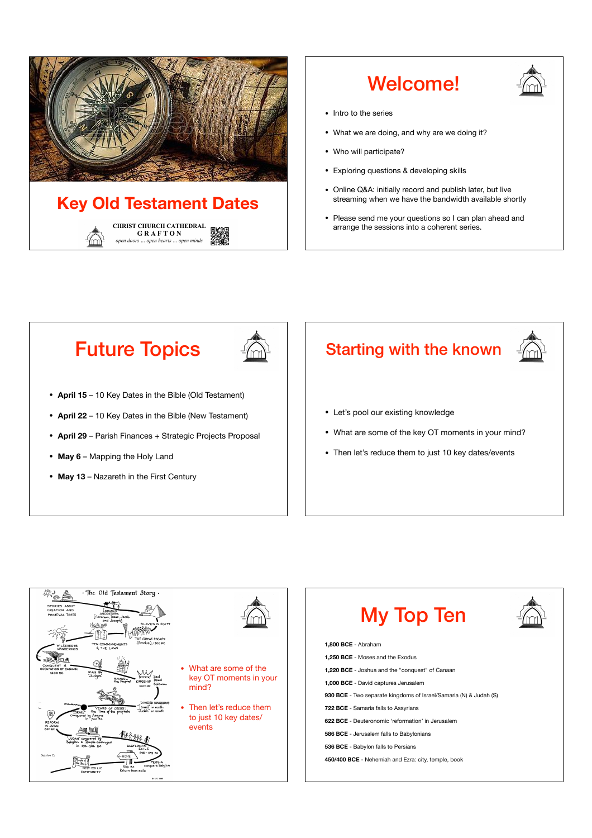

## Welcome!



- Intro to the series
- What we are doing, and why are we doing it?
- Who will participate?
- Exploring questions & developing skills
- Online Q&A: initially record and publish later, but live streaming when we have the bandwidth available shortly
- Please send me your questions so I can plan ahead and arrange the sessions into a coherent series.

## Future Topics



- **April 15**  10 Key Dates in the Bible (Old Testament)
- **April 22**  10 Key Dates in the Bible (New Testament)
- **April 29**  Parish Finances + Strategic Projects Proposal
- **May 6** Mapping the Holy Land
- **May 13** Nazareth in the First Century

# Starting with the known • Let's pool our existing knowledge • What are some of the key OT moments in your mind? • Then let's reduce them to just 10 key dates/events